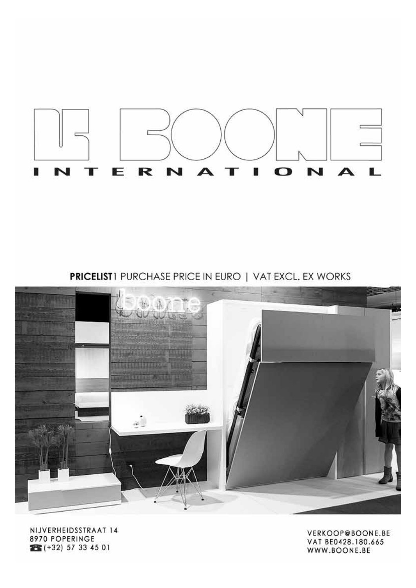

**PRICELIST**1 PURCHASE PRICE IN EURO | VAT EXCL. EX WORKS



NIJVERHEIDSSTRAAT 14 8970 POPERINGE 26 (+32) 57 33 45 01

VERKOOP@BOONE.BE VAT BE0428.180.665 WWW.BOONE.BE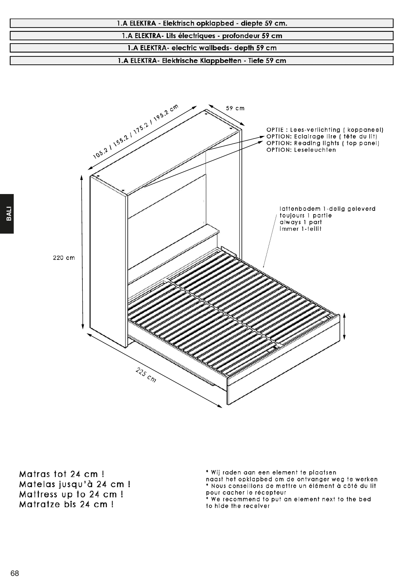



Matras tot 24 cm ! Matelas jusqu'à 24 cm ! Mattress up to 24 cm ! Matratze bis 24 cm !

\* Wij raden aan een element te plaatsen

naast het opklapbed om de ontvanger weg te werken \* Nous conseillons de mettre un élément à côté du lit

pour cacher le récepteur<br>\* We recommend to put an element next to the bed to hide the receiver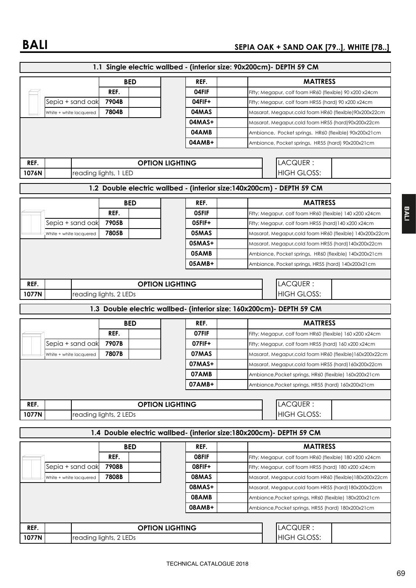|               |                         |                        |                        |        | 1.1 Single electric wallbed - (interior size: 90x200cm) - DEPTH 59 CM |  |
|---------------|-------------------------|------------------------|------------------------|--------|-----------------------------------------------------------------------|--|
|               |                         |                        | <b>BED</b>             | REF.   | <b>MATTRESS</b>                                                       |  |
|               |                         | REF.                   |                        | 04FIF  | Fifty; Megapur, colf foam HR60 (flexible) 90 x200 x24cm               |  |
|               | Sepia + sand oak        | 7904B                  |                        | 04FIF+ | Fifty; Megapur, colf foam HR55 (hard) 90 x200 x24cm                   |  |
|               | White + white lacquered | 7804B                  |                        | 04MAS  | Masarat, Megapur,cold foam HR60 (flexible)90x200x22cm                 |  |
|               |                         |                        |                        | 04MAS+ | Masarat, Megapur,cold foam HR55 (hard)90x200x22cm                     |  |
|               |                         |                        |                        | 04AMB  | Ambiance, Pocket springs, HR60 (flexible) 90x200x21cm                 |  |
|               |                         |                        |                        | 04AMB+ | Ambiance, Pocket springs, HR55 (hard) 90x200x21cm                     |  |
|               |                         |                        |                        |        |                                                                       |  |
| REF.          |                         |                        | <b>OPTION LIGHTING</b> |        | LACQUER:                                                              |  |
| 1076N         |                         | reading lights, 1 LED  |                        |        | <b>HIGH GLOSS:</b>                                                    |  |
|               |                         |                        |                        |        |                                                                       |  |
|               |                         |                        |                        |        | 1.2 Double electric wallbed - (interior size:140x200cm) - DEPTH 59 CM |  |
|               |                         |                        | <b>BED</b>             | REF.   | <b>MATTRESS</b>                                                       |  |
|               |                         | REF.                   |                        | 05FIF  | Fifty; Megapur, colf foam HR60 (flexible) 140 x200 x24cm              |  |
|               | Sepia + sand oak        | 7905B                  |                        | 05FIF+ | Fifty; Megapur, colf foam HR55 (hard) 140 x200 x24cm                  |  |
|               | White + white lacquered | 7805B                  |                        | 05MAS  | Masarat, Megapur,cold foam HR60 (flexible) 140x200x22cm               |  |
|               |                         |                        |                        | 05MAS+ | Masarat, Megapur,cold foam HR55 (hard) 140x200x22cm                   |  |
|               |                         |                        |                        | 05AMB  | Ambiance, Pocket springs, HR60 (flexible) 140x200x21cm                |  |
|               |                         |                        |                        | 05AMB+ | Ambiance, Pocket springs, HR55 (hard) 140x200x21cm                    |  |
|               |                         |                        |                        |        |                                                                       |  |
| REF.          |                         |                        | <b>OPTION LIGHTING</b> |        | LACQUER:                                                              |  |
| 1077N         |                         | reading lights, 2 LEDs |                        |        | <b>HIGH GLOSS:</b>                                                    |  |
|               |                         |                        |                        |        | 1.3 Double electric wallbed- (interior size: 160x200cm)- DEPTH 59 CM  |  |
|               |                         |                        | <b>BED</b>             | REF.   | <b>MATTRESS</b>                                                       |  |
|               |                         | REF.                   |                        | 07FIF  | Fifty; Megapur, colf foam HR60 (flexible) 160 x200 x24cm              |  |
|               |                         |                        |                        | 07FIF+ |                                                                       |  |
|               |                         |                        |                        |        |                                                                       |  |
|               | Sepia + sand oak        | 7907B                  |                        |        | Fifty; Megapur, colf foam HR55 (hard) 160 x200 x24cm                  |  |
|               | White + white lacquered | 7807B                  |                        | 07MAS  | Masarat, Megapur,cold foam HR60 (flexible)160x200x22cm                |  |
|               |                         |                        |                        | 07MAS+ | Masarat, Megapur,cold foam HR55 (hard) 160x200x22cm                   |  |
|               |                         |                        |                        | 07AMB  | Ambiance, Pocket springs, HR60 (flexible) 160x200x21cm                |  |
|               |                         |                        |                        | 07AMB+ | Ambiance, Pocket springs, HR55 (hard) 160x200x21cm                    |  |
|               |                         |                        |                        |        |                                                                       |  |
| REF.<br>1077N |                         |                        | <b>OPTION LIGHTING</b> |        | LACQUER:<br><b>HIGH GLOSS:</b>                                        |  |
|               |                         | reading lights, 2 LEDs |                        |        |                                                                       |  |
|               |                         |                        |                        |        | 1.4 Double electric wallbed- (interior size:180x200cm)- DEPTH 59 CM   |  |
|               |                         |                        | <b>BED</b>             | REF.   | <b>MATTRESS</b>                                                       |  |
|               |                         | REF.                   |                        | 08FIF  | Fifty; Megapur, colf foam HR60 (flexible) 180 x200 x24cm              |  |
|               | Sepia + sand oak        | 7908B                  |                        | 08FIF+ | Fifty; Megapur, colf foam HR55 (hard) 180 x200 x24cm                  |  |
|               | White + white lacquered | 7808B                  |                        | 08MAS  | Masarat, Megapur,cold foam HR60 (flexible) 180x200x22cm               |  |
|               |                         |                        |                        | 08MAS+ | Masarat, Megapur,cold foam HR55 (hard) 180x200x22cm                   |  |
|               |                         |                        |                        | 08AMB  | Ambiance, Pocket springs, HR60 (flexible) 180x200x21cm                |  |
|               |                         |                        |                        | 08AMB+ | Ambiance,Pocket springs, HR55 (hard) 180x200x21cm                     |  |
|               |                         |                        |                        |        |                                                                       |  |
| REF.<br>1077N |                         | reading lights, 2 LEDs | <b>OPTION LIGHTING</b> |        | LACQUER:<br><b>HIGH GLOSS:</b>                                        |  |

69

**BALI**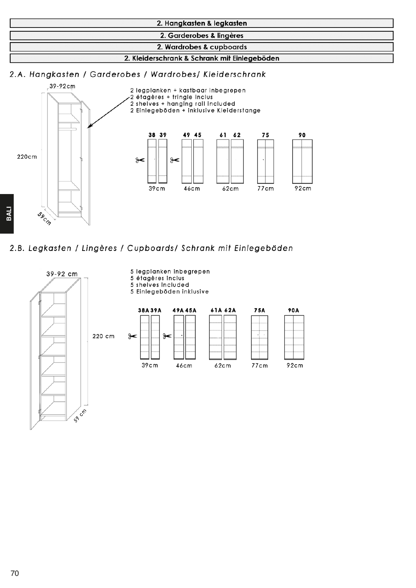

2.A. Hangkasten / Garderobes / Wardrobes/ Kleiderschrank



2.B. Legkasten / Lingères / Cupboards/ Schrank mit Einlegeböden

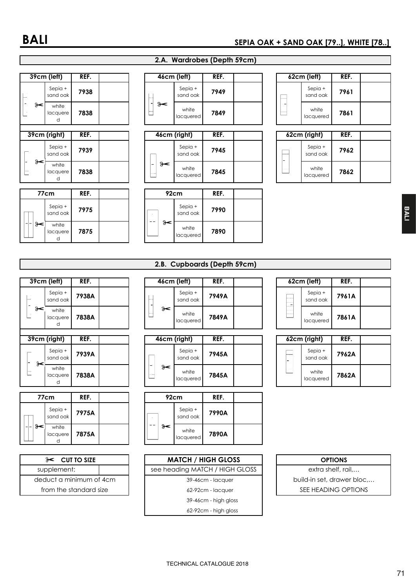#### **99cm (left)** REF. Sepia + sand oak **9938**<br>sand oak **9938** L  $\approx$ white 7838 lacquere d **1992 REF.** Sepia +<br>sand oak Sepia + **1939** Sepia + Sepia + Sepia + Sepia + Sepia + Sepia + Sepia + Sepia + Sepia + Sepia + Sepia + Sepia + Sepia + Sepia + Sepia + Sepia + Sepia + Sepia + Sepia + Sepia + Sepia + Sepia + Sepia + Sepia + Sepia + Sepia  $\mathbf{a}$ white 7838 lacquere d

| 77cm              | REF. |  | 92cm |  | REF.                |      |
|-------------------|------|--|------|--|---------------------|------|
| Sepia +           | 7975 |  |      |  | Sepia +<br>sand oak | 7990 |
| white<br>lacquere | 7875 |  |      |  | white<br>lacquered  | 7890 |

### 2.A. Wardrobes (Depth 59cm)

| 46cm (left) |                     | REF. |  |                          | 62cm (left)        |
|-------------|---------------------|------|--|--------------------------|--------------------|
| .           | Sepia +<br>sand oak | 7949 |  |                          | Sepia +<br>sand oa |
| .           | white<br>lacquered  | 7849 |  |                          | white<br>lacquere  |
| $\cdots$    | .                   |      |  | $\overline{\phantom{a}}$ | .                  |

| 46cm (right) |                     | KEF. |  |                       | 62cm (right)       |
|--------------|---------------------|------|--|-----------------------|--------------------|
|              | Sepia +<br>sand oak | 7945 |  | <b>Longitude</b><br>- | Sepia -<br>sand oc |
|              | white<br>lacquered  | 7845 |  |                       | white<br>lacquere  |

| 92cm |                     | REF. |  |
|------|---------------------|------|--|
|      | Sepia +<br>sand oak | 7990 |  |
|      | white<br>lacquered  | 7890 |  |

| 62cm (left)         | REF. |  |
|---------------------|------|--|
| Sepia +<br>sand oak | 7961 |  |
| white<br>lacquered  | 7861 |  |

|          | 62cm (right)        | REF. |  |
|----------|---------------------|------|--|
| $-11111$ | Sepia +<br>sand oak | 7962 |  |
|          | white<br>lacquered  | 7862 |  |

### 2.B. Cupboards (Depth 59cm)

|      | 39cm (left)            | REF.  |  |    | 46cm (left)        |
|------|------------------------|-------|--|----|--------------------|
| $-1$ | Sepia +<br>sand oak    | 7938A |  |    | Sepia +<br>sand oa |
| ⊁<   | white<br>lacquere<br>d | 7838A |  | ⊱⊱ | white<br>lacquere  |
|      |                        |       |  |    |                    |
|      |                        |       |  |    |                    |
|      | 39cm (right)           | REF.  |  |    | 46cm (right)       |
| ⊁    | $Sepi0 +$<br>sand oak  | 7939A |  |    | Sepia +<br>sand oa |

|  | 77cm                | REF.  |  |  | 92cm                | REF. |
|--|---------------------|-------|--|--|---------------------|------|
|  | Sepia +<br>sand oak | 7975A |  |  | Sepia +<br>sand oak | 7990 |
|  | white<br>lacquere   | 7875A |  |  | white<br>lacquered  | 7890 |

| $\approx$ CUT TO SIZE   |  |
|-------------------------|--|
| supplement:             |  |
| deduct a minimum of 4cm |  |
| from the standard size  |  |

|   | 39cm (left)         | REF.  |  | 46cm (left) |                     | REF.  |  |                  | 62cm (left)         |      |
|---|---------------------|-------|--|-------------|---------------------|-------|--|------------------|---------------------|------|
|   | Sepia +<br>sand oak | 7938A |  | .           | Sepia +<br>sand oak | 7949A |  | ------<br>------ | Sepia +<br>sand oak | 7961 |
| ⊱ | white<br>lacauere   | 7838A |  | .           | white<br>lacauered  | 7849A |  | --------         | white<br>lacquered  | 7861 |

| 39cm (right)<br>REF. |                     | 46cm (right) |  |       | REF. |                     |       | 62cm (right) | REF. |              |                     |      |
|----------------------|---------------------|--------------|--|-------|------|---------------------|-------|--------------|------|--------------|---------------------|------|
| ⊱                    | Sepia +<br>sand oak | 7939A        |  |       |      | Sepia +<br>sand oak | 7945A |              |      | -------<br>- | Sepia +<br>sand oak | 7962 |
| .<br>ī               | white<br>lacquere   | 7838A        |  | -<br> | ⊱    | white<br>lacauered  | 7845A |              |      |              | white<br>lacauered  | 7862 |

| 92cm                | REF.  |  |
|---------------------|-------|--|
| Sepia +<br>sand oak | 7990A |  |
| white<br>lacquered  | 7890A |  |

| $\approx$ CUT TO SIZE   | <b>MATCH / HIGH GLOSS</b>      | <b>OPTIONS</b>            |
|-------------------------|--------------------------------|---------------------------|
| supplement:             | see heading MATCH / HIGH GLOSS | extra shelf, rail,        |
| deduct a minimum of 4cm | 39-46cm - lacquer              | build-in set, drawer bloc |
| from the standard size  | 62-92cm - lacquer              | SEE HEADING OPTIONS       |
|                         | 39-46cm - high gloss           |                           |
|                         | 62-92cm - high gloss           |                           |

| 62cm (left) |                     | REF.  |  |
|-------------|---------------------|-------|--|
|             | Sepia +<br>sand oak | 7961A |  |
|             | white<br>lacquered  | 7861A |  |

|        | 62cm (right)        | REF.  |  |
|--------|---------------------|-------|--|
| ------ | Sepia +<br>sand oak | 7962A |  |
|        | white<br>lacquered  | 7862A |  |

| <b>OPTIONS</b>            |
|---------------------------|
| extra shelf, rail         |
| build-in set, drawer bloc |
| SEE HEADING OPTIONS       |
|                           |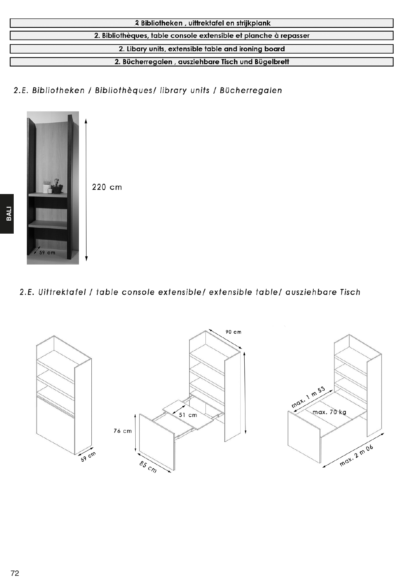| 2 Bibliotheken, uittrektafel en strijkplank                      |
|------------------------------------------------------------------|
| 2. Bibliothèques, table console extensible et planche à repasser |
| 2. Libary units, extensible table and ironing board              |
| 2. Bücherregalen, ausziehbare Tisch und Bügelbrett               |

2.E. Bibliotheken / Bibliothèques/ library units / Bücherregalen



220 cm

# 2.E. Uittrektafel / table console extensible/ extensible table/ ausziehbare Tisch